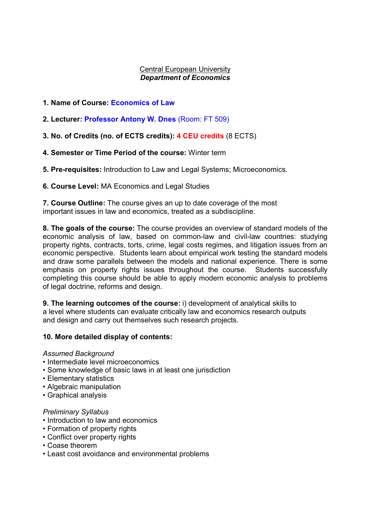# Central European University Department of Economics

# 1. Name of Course: Economics of Law

2. Lecturer: Professor Antony W. Dnes (Room: FT 509)

3. No. of Credits (no. of ECTS credits): 4 CEU credits (8 ECTS)

# 4. Semester or Time Period of the course: Winter term

5. Pre-requisites: Introduction to Law and Legal Systems; Microeconomics.

6. Course Level: MA Economics and Legal Studies

7. Course Outline: The course gives an up to date coverage of the most important issues in law and economics, treated as a subdiscipline.

8. The goals of the course: The course provides an overview of standard models of the economic analysis of law, based on common-law and civil-law countries: studying property rights, contracts, torts, crime, legal costs regimes, and litigation issues from an economic perspective. Students learn about empirical work testing the standard models and draw some parallels between the models and national experience. There is some emphasis on property rights issues throughout the course. Students successfully completing this course should be able to apply modern economic analysis to problems of legal doctrine, reforms and design.

9. The learning outcomes of the course: i) development of analytical skills to a level where students can evaluate critically law and economics research outputs and design and carry out themselves such research projects.

# 10. More detailed display of contents:

# Assumed Background

- Intermediate level microeconomics
- Some knowledge of basic laws in at least one jurisdiction
- Elementary statistics
- Algebraic manipulation
- Graphical analysis

# Preliminary Syllabus

- Introduction to law and economics
- Formation of property rights
- Conflict over property rights
- Coase theorem
- Least cost avoidance and environmental problems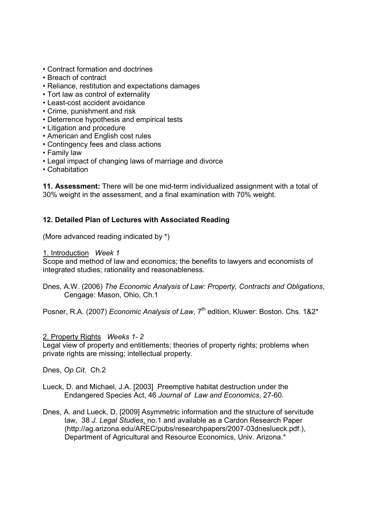- Contract formation and doctrines
- Breach of contract
- Reliance, restitution and expectations damages
- Tort law as control of externality
- Least-cost accident avoidance
- Crime, punishment and risk
- Deterrence hypothesis and empirical tests
- Litigation and procedure
- American and English cost rules
- Contingency fees and class actions
- Family law
- Legal impact of changing laws of marriage and divorce
- Cohabitation

11. Assessment: There will be one mid-term individualized assignment with a total of 30% weight in the assessment, and a final examination with 70% weight.

# 12. Detailed Plan of Lectures with Associated Reading

(More advanced reading indicated by \*)

#### 1. Introduction Week 1

Scope and method of law and economics; the benefits to lawyers and economists of integrated studies; rationality and reasonableness.

Dnes, A.W. (2006) The Economic Analysis of Law: Property, Contracts and Obligations, Cengage: Mason, Ohio, Ch.1

Posner, R.A. (2007) Economic Analysis of Law, 7<sup>th</sup> edition, Kluwer: Boston. Chs. 1&2<sup>\*</sup>

#### 2. Property Rights Weeks 1- 2

Legal view of property and entitlements; theories of property rights; problems when private rights are missing; intellectual property.

Dnes, Op Cit. Ch.2

- Lueck, D. and Michael, J.A. [2003] Preemptive habitat destruction under the Endangered Species Act, 46 Journal of Law and Economics, 27-60.
- Dnes, A. and Lueck, D. [2009] Asymmetric information and the structure of servitude law, 38 J. Legal Studies, no.1 and available as a Cardon Research Paper (http://ag.arizona.edu/AREC/pubs/researchpapers/2007-03dneslueck.pdf.), Department of Agricultural and Resource Economics, Univ. Arizona.\*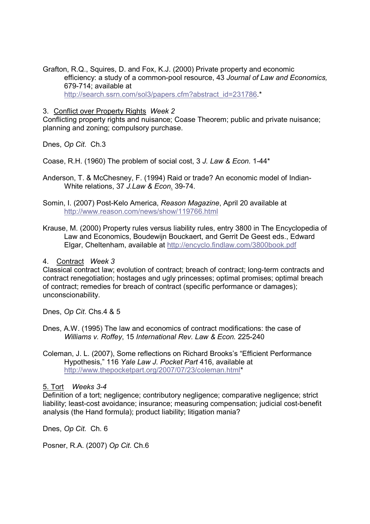Grafton, R.Q., Squires, D. and Fox, K.J. (2000) Private property and economic efficiency: a study of a common-pool resource, 43 Journal of Law and Economics, 679-714; available at http://search.ssrn.com/sol3/papers.cfm?abstract\_id=231786.\*

#### 3. Conflict over Property Rights Week 2

Conflicting property rights and nuisance; Coase Theorem; public and private nuisance; planning and zoning; compulsory purchase.

Dnes, Op Cit. Ch.3

Coase, R.H. (1960) The problem of social cost, 3 J. Law & Econ. 1-44\*

Anderson, T. & McChesney, F. (1994) Raid or trade? An economic model of Indian-White relations, 37 J.Law & Econ. 39-74.

Somin, I. (2007) Post-Kelo America, Reason Magazine, April 20 available at http://www.reason.com/news/show/119766.html

Krause, M. (2000) Property rules versus liability rules, entry 3800 in The Encyclopedia of Law and Economics, Boudewijn Bouckaert, and Gerrit De Geest eds., Edward Elgar, Cheltenham, available at http://encyclo.findlaw.com/3800book.pdf

4. Contract Week 3

Classical contract law; evolution of contract; breach of contract; long-term contracts and contract renegotiation; hostages and ugly princesses; optimal promises; optimal breach of contract; remedies for breach of contract (specific performance or damages); unconscionability.

Dnes, Op Cit. Chs.4 & 5

- Dnes, A.W. (1995) The law and economics of contract modifications: the case of Williams v. Roffey, 15 International Rev. Law & Econ. 225-240
- Coleman, J. L. (2007), Some reflections on Richard Brooks's "Efficient Performance Hypothesis," 116 Yale Law J. Pocket Part 416, available at http://www.thepocketpart.org/2007/07/23/coleman.html\*

5. Tort Weeks 3-4

Definition of a tort; negligence; contributory negligence; comparative negligence; strict liability; least-cost avoidance; insurance; measuring compensation; judicial cost-benefit analysis (the Hand formula); product liability; litigation mania?

Dnes, Op Cit. Ch. 6

Posner, R.A. (2007) Op Cit. Ch.6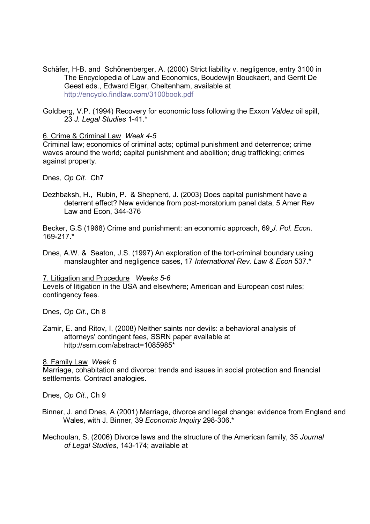- Schäfer, H-B. and Schönenberger, A. (2000) Strict liability v. negligence, entry 3100 in The Encyclopedia of Law and Economics, Boudewijn Bouckaert, and Gerrit De Geest eds., Edward Elgar, Cheltenham, available at http://encyclo.findlaw.com/3100book.pdf
- Goldberg, V.P. (1994) Recovery for economic loss following the Exxon Valdez oil spill, 23 J. Legal Studies 1-41.\*

#### 6. Crime & Criminal Law Week 4-5

Criminal law; economics of criminal acts; optimal punishment and deterrence; crime waves around the world; capital punishment and abolition; drug trafficking; crimes against property.

Dnes, Op Cit. Ch7

Dezhbaksh, H., Rubin, P. & Shepherd, J. (2003) Does capital punishment have a deterrent effect? New evidence from post-moratorium panel data, 5 Amer Rev Law and Econ, 344-376

Becker, G.S (1968) Crime and punishment: an economic approach, 69 J. Pol. Econ. 169-217 \*

Dnes, A.W. & Seaton, J.S. (1997) An exploration of the tort-criminal boundary using manslaughter and negligence cases, 17 International Rev. Law & Econ 537.\*

#### 7. Litigation and Procedure Weeks 5-6

Levels of litigation in the USA and elsewhere; American and European cost rules; contingency fees.

Dnes, Op Cit., Ch 8

Zamir, E. and Ritov, I. (2008) Neither saints nor devils: a behavioral analysis of attorneys' contingent fees, SSRN paper available at http://ssrn.com/abstract=1085985\*

8. Family Law Week 6

Marriage, cohabitation and divorce: trends and issues in social protection and financial settlements. Contract analogies.

Dnes, Op Cit., Ch 9

Binner, J. and Dnes, A (2001) Marriage, divorce and legal change: evidence from England and Wales, with J. Binner, 39 Economic Inquiry 298-306.\*

Mechoulan, S. (2006) Divorce laws and the structure of the American family, 35 Journal of Legal Studies, 143-174; available at